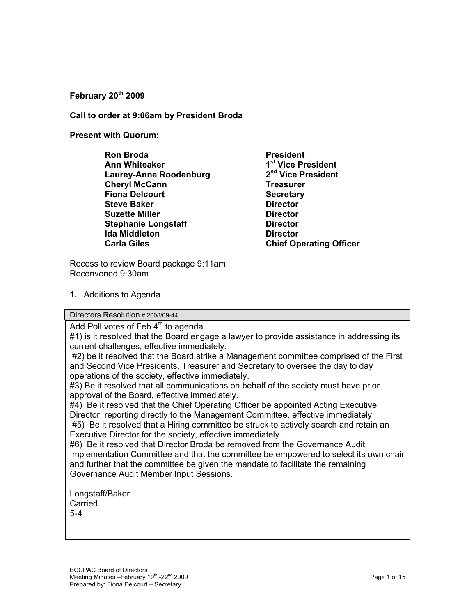#### **February 20th 2009**

**Call to order at 9:06am by President Broda** 

**Present with Quorum:** 

- **Ron Broda** President **Ann Whiteaker 1st Vice President Laurey-Anne Roodenburg Cheryl McCann** Treasurer **Fiona Delcourt Secretary Steve Baker Director Contracts Suzette Miller Community Community Community Director Stephanie Longstaff Director Constant Congress Constant Congress Congress Congress Congress Congress Congress Congress Congress Congress Congress Congress Congress Congress Congress Congress Congress Congress Congress Con Ida Middleton Director Carla Giles Carla Giles** Chief Operating Officer
- 

Recess to review Board package 9:11am Reconvened 9:30am

**1.** Additions to Agenda

Directors Resolution # 2008/09-44

Add Poll votes of Feb  $4<sup>th</sup>$  to agenda.

#1) is it resolved that the Board engage a lawyer to provide assistance in addressing its current challenges, effective immediately.

 #2) be it resolved that the Board strike a Management committee comprised of the First and Second Vice Presidents, Treasurer and Secretary to oversee the day to day operations of the society, effective immediately.

#3) Be it resolved that all communications on behalf of the society must have prior approval of the Board, effective immediately.

#4) Be it resolved that the Chief Operating Officer be appointed Acting Executive Director, reporting directly to the Management Committee, effective immediately #5) Be it resolved that a Hiring committee be struck to actively search and retain an Executive Director for the society, effective immediately.

#6) Be it resolved that Director Broda be removed from the Governance Audit Implementation Committee and that the committee be empowered to select its own chair and further that the committee be given the mandate to facilitate the remaining Governance Audit Member Input Sessions.

Longstaff/Baker **Carried** 5-4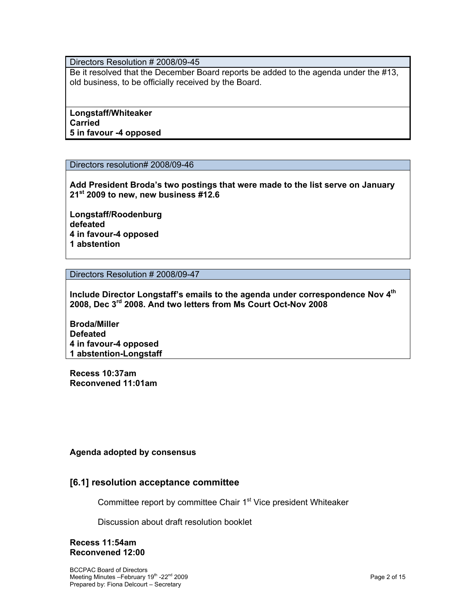Directors Resolution # 2008/09-45

Be it resolved that the December Board reports be added to the agenda under the #13, old business, to be officially received by the Board.

**Longstaff/Whiteaker Carried 5 in favour -4 opposed**

Directors resolution# 2008/09-46

**Add President Broda's two postings that were made to the list serve on January 21st 2009 to new, new business #12.6** 

**Longstaff/Roodenburg defeated 4 in favour-4 opposed 1 abstention** 

Directors Resolution # 2008/09-47

**Include Director Longstaff's emails to the agenda under correspondence Nov 4th 2008, Dec 3rd 2008. And two letters from Ms Court Oct-Nov 2008** 

**Broda/Miller Defeated 4 in favour-4 opposed 1 abstention-Longstaff** 

**Recess 10:37am Reconvened 11:01am** 

#### **Agenda adopted by consensus**

## **[6.1] resolution acceptance committee**

Committee report by committee Chair 1<sup>st</sup> Vice president Whiteaker

Discussion about draft resolution booklet

#### **Recess 11:54am Reconvened 12:00**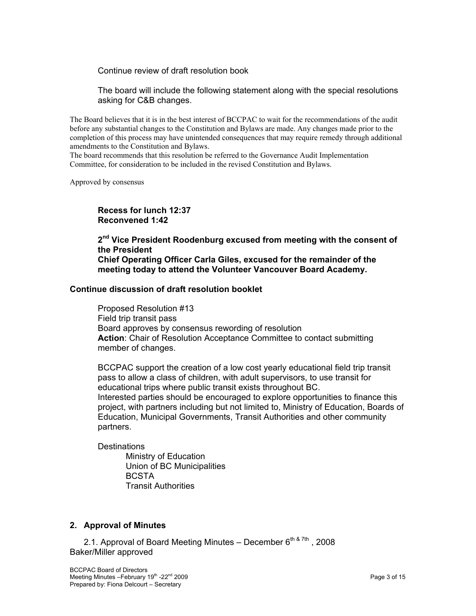Continue review of draft resolution book

The board will include the following statement along with the special resolutions asking for C&B changes.

The Board believes that it is in the best interest of BCCPAC to wait for the recommendations of the audit before any substantial changes to the Constitution and Bylaws are made. Any changes made prior to the completion of this process may have unintended consequences that may require remedy through additional amendments to the Constitution and Bylaws.

The board recommends that this resolution be referred to the Governance Audit Implementation Committee, for consideration to be included in the revised Constitution and Bylaws.

Approved by consensus

**Recess for lunch 12:37 Reconvened 1:42** 

**2nd Vice President Roodenburg excused from meeting with the consent of the President Chief Operating Officer Carla Giles, excused for the remainder of the meeting today to attend the Volunteer Vancouver Board Academy.** 

#### **Continue discussion of draft resolution booklet**

Proposed Resolution #13 Field trip transit pass Board approves by consensus rewording of resolution Action: Chair of Resolution Acceptance Committee to contact submitting member of changes.

BCCPAC support the creation of a low cost yearly educational field trip transit pass to allow a class of children, with adult supervisors, to use transit for educational trips where public transit exists throughout BC. Interested parties should be encouraged to explore opportunities to finance this project, with partners including but not limited to, Ministry of Education, Boards of Education, Municipal Governments, Transit Authorities and other community partners.

**Destinations** 

 Ministry of Education Union of BC Municipalities **BCSTA** Transit Authorities

#### **2. Approval of Minutes**

2.1. Approval of Board Meeting Minutes – December  $6<sup>th & 7th</sup>$ , 2008 Baker/Miller approved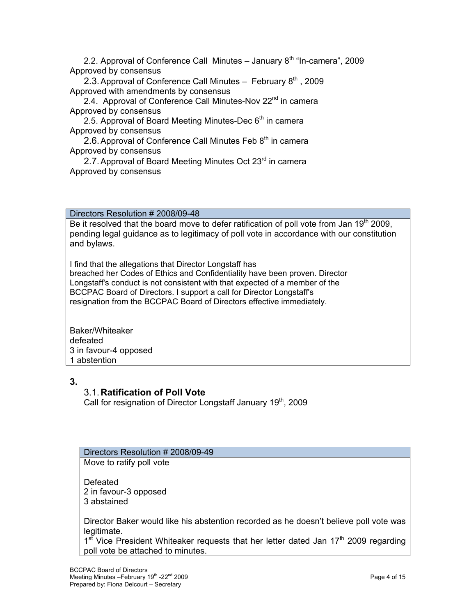2.2. Approval of Conference Call Minutes  $-$  January  $8<sup>th</sup>$  "In-camera", 2009 Approved by consensus

2.3. Approval of Conference Call Minutes  $-$  February  $8<sup>th</sup>$ , 2009 Approved with amendments by consensus

2.4. Approval of Conference Call Minutes-Nov 22<sup>nd</sup> in camera Approved by consensus

2.5. Approval of Board Meeting Minutes-Dec  $6<sup>th</sup>$  in camera Approved by consensus

2.6. Approval of Conference Call Minutes Feb  $8<sup>th</sup>$  in camera Approved by consensus

2.7. Approval of Board Meeting Minutes Oct 23<sup>rd</sup> in camera Approved by consensus

Directors Resolution # 2008/09-48

Be it resolved that the board move to defer ratification of poll vote from Jan 19<sup>th</sup> 2009, pending legal guidance as to legitimacy of poll vote in accordance with our constitution and bylaws.

I find that the allegations that Director Longstaff has breached her Codes of Ethics and Confidentiality have been proven. Director Longstaff's conduct is not consistent with that expected of a member of the BCCPAC Board of Directors. I support a call for Director Longstaff's resignation from the BCCPAC Board of Directors effective immediately.

Baker/Whiteaker defeated 3 in favour-4 opposed 1 abstention

# **3.**

# 3.1. **Ratification of Poll Vote**

Call for resignation of Director Longstaff January 19<sup>th</sup>, 2009

# Directors Resolution # 2008/09-49

Move to ratify poll vote

Defeated 2 in favour-3 opposed 3 abstained

Director Baker would like his abstention recorded as he doesn't believe poll vote was legitimate.

 $1<sup>st</sup>$  Vice President Whiteaker requests that her letter dated Jan  $17<sup>th</sup>$  2009 regarding poll vote be attached to minutes.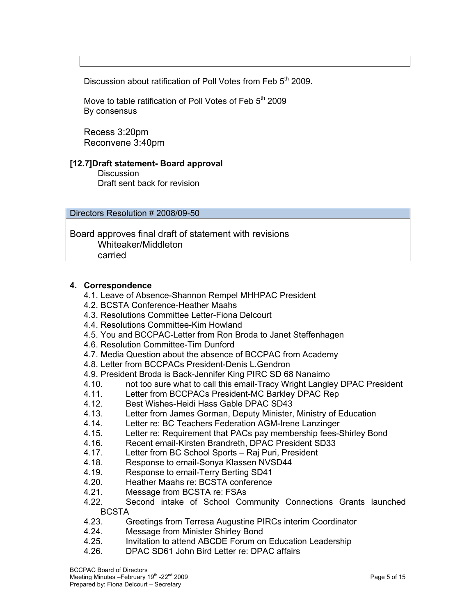Discussion about ratification of Poll Votes from Feb 5<sup>th</sup> 2009.

Move to table ratification of Poll Votes of Feb 5<sup>th</sup> 2009 By consensus

Recess 3:20pm Reconvene 3:40pm

#### **[12.7]Draft statement- Board approval**

**Discussion** Draft sent back for revision

Directors Resolution # 2008/09-50

Board approves final draft of statement with revisions Whiteaker/Middleton carried

#### **4. Correspondence**

- 4.1. Leave of Absence-Shannon Rempel MHHPAC President
- 4.2. BCSTA Conference-Heather Maahs
- 4.3. Resolutions Committee Letter-Fiona Delcourt
- 4.4. Resolutions Committee-Kim Howland
- 4.5. You and BCCPAC-Letter from Ron Broda to Janet Steffenhagen
- 4.6. Resolution Committee-Tim Dunford
- 4.7. Media Question about the absence of BCCPAC from Academy
- 4.8. Letter from BCCPACs President-Denis L.Gendron
- 4.9. President Broda is Back-Jennifer King PIRC SD 68 Nanaimo
- 4.10. Letter from BCCPACs President-MC Barkley DRAC President At 11. Letter from BCCPACs President-MC Barkley DPAC Rep
- Letter from BCCPACs President-MC Barkley DPAC Rep
- 4.12. Best Wishes-Heidi Hass Gable DPAC SD43
- 4.13. Letter from James Gorman, Deputy Minister, Ministry of Education
- 4.14. Letter re: BC Teachers Federation AGM-Irene Lanzinger
- 4.15. Letter re: Requirement that PACs pay membership fees-Shirley Bond
- 4.16. Recent email-Kirsten Brandreth, DPAC President SD33
- 4.17. Letter from BC School Sports Raj Puri, President
- 4.18. Response to email-Sonya Klassen NVSD44
- 4.19. Response to email-Terry Berting SD41
- 4.20. Heather Maahs re: BCSTA conference
- 4.21. Message from BCSTA re: FSAs
- 4.22. Second intake of School Community Connections Grants launched **BCSTA**
- 4.23. Greetings from Terresa Augustine PIRCs interim Coordinator
- 4.24. Message from Minister Shirley Bond
- 4.25. Invitation to attend ABCDE Forum on Education Leadership
- 4.26. DPAC SD61 John Bird Letter re: DPAC affairs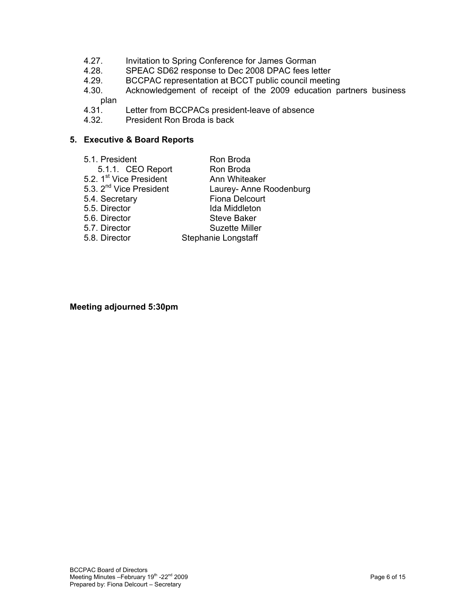- 4.27. Invitation to Spring Conference for James Gorman
- 4.28. SPEAC SD62 response to Dec 2008 DPAC fees letter
- 4.29. BCCPAC representation at BCCT public council meeting<br>4.30. Acknowledgement of receipt of the 2009 education pa
- Acknowledgement of receipt of the 2009 education partners business plan
- 4.31. Letter from BCCPACs president-leave of absence
- 4.32. President Ron Broda is back

#### **5. Executive & Board Reports**

- 5.1. President Ron Broda
	-
	- 5.1.1. CEO Report Ron Broda
		-
- 5.2. 1<sup>st</sup> Vice President **Ann Whiteaker**<br>5.3. 2<sup>nd</sup> Vice President Laurey- Anne R Laurey- Anne Roodenburg
- 5.4. Secretary Fiona Delcourt
	-
- 5.5. Director Ida Middleton
- 5.6. Director Steve Baker
- 5.7. Director Suzette Miller
- 5.8. Director Stephanie Longstaff

#### **Meeting adjourned 5:30pm**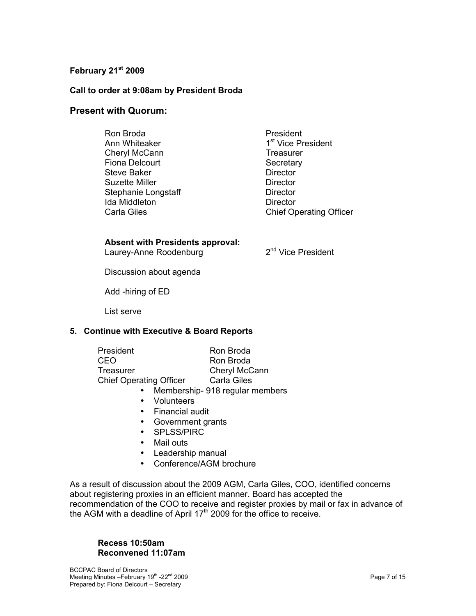## **February 21st 2009**

#### **Call to order at 9:08am by President Broda**

#### **Present with Quorum:**

Ron Broda **President** Ann Whiteaker 1st Vice President Cheryl McCann Treasurer Fiona Delcourt Secretary Steve Baker **Director Director** Suzette Miller **Director Director** Stephanie Longstaff Director Ida Middleton **Director** 

Carla Giles Carla Giles Chief Operating Officer

#### **Absent with Presidents approval:**

Laurey-Anne Roodenburg 2<sup>nd</sup> Vice President

Discussion about agenda

Add -hiring of ED

List serve

#### **5. Continue with Executive & Board Reports**

| President                      | Ron Broda     |
|--------------------------------|---------------|
| CEO                            | Ron Broda     |
| Treasurer                      | Cheryl McCann |
| <b>Chief Operating Officer</b> | Carla Giles   |

- Membership- 918 regular members
- Volunteers
- Financial audit
- Government grants
- SPLSS/PIRC
- Mail outs
- Leadership manual
- Conference/AGM brochure

As a result of discussion about the 2009 AGM, Carla Giles, COO, identified concerns about registering proxies in an efficient manner. Board has accepted the recommendation of the COO to receive and register proxies by mail or fax in advance of the AGM with a deadline of April  $17<sup>th</sup>$  2009 for the office to receive.

#### **Recess 10:50am Reconvened 11:07am**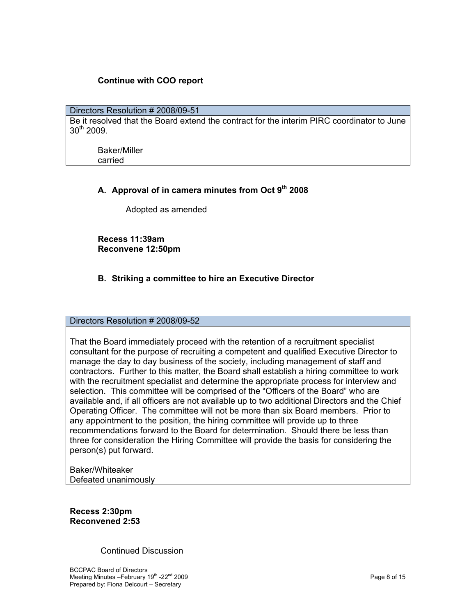## **Continue with COO report**

# Directors Resolution # 2008/09-51 Be it resolved that the Board extend the contract for the interim PIRC coordinator to June 30th 2009.

Baker/Miller carried

## A. Approval of in camera minutes from Oct 9<sup>th</sup> 2008

Adopted as amended

**Recess 11:39am Reconvene 12:50pm** 

## **B. Striking a committee to hire an Executive Director**

#### Directors Resolution # 2008/09-52

That the Board immediately proceed with the retention of a recruitment specialist consultant for the purpose of recruiting a competent and qualified Executive Director to manage the day to day business of the society, including management of staff and contractors. Further to this matter, the Board shall establish a hiring committee to work with the recruitment specialist and determine the appropriate process for interview and selection. This committee will be comprised of the "Officers of the Board" who are available and, if all officers are not available up to two additional Directors and the Chief Operating Officer. The committee will not be more than six Board members. Prior to any appointment to the position, the hiring committee will provide up to three recommendations forward to the Board for determination. Should there be less than three for consideration the Hiring Committee will provide the basis for considering the person(s) put forward.

Baker/Whiteaker Defeated unanimously

**Recess 2:30pm Reconvened 2:53** 

Continued Discussion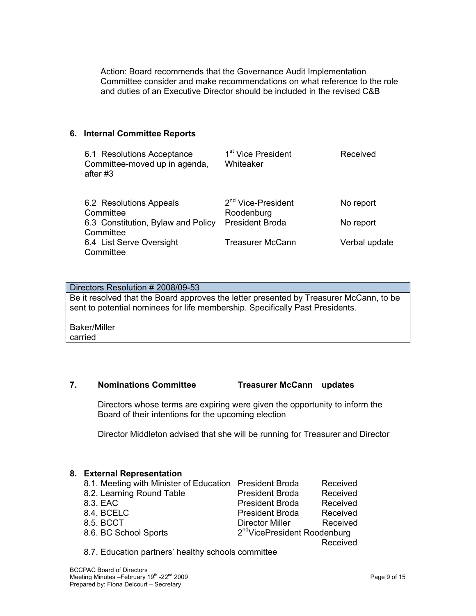Action: Board recommends that the Governance Audit Implementation Committee consider and make recommendations on what reference to the role and duties of an Executive Director should be included in the revised C&B

#### **6. Internal Committee Reports**

| 6.1 Resolutions Acceptance<br>Committee-moved up in agenda,<br>after #3 | 1 <sup>st</sup> Vice President<br>Whiteaker  | Received      |
|-------------------------------------------------------------------------|----------------------------------------------|---------------|
| 6.2 Resolutions Appeals<br>Committee                                    | 2 <sup>nd</sup> Vice-President<br>Roodenburg | No report     |
| 6.3 Constitution, Bylaw and Policy<br>Committee                         | <b>President Broda</b>                       | No report     |
| 6.4 List Serve Oversight<br>Committee                                   | <b>Treasurer McCann</b>                      | Verbal update |

| Directors Resolution # 2008/09-53                                                      |
|----------------------------------------------------------------------------------------|
| Be it resolved that the Board approves the letter presented by Treasurer McCann, to be |
| sent to potential nominees for life membership. Specifically Past Presidents.          |
| Baker/Miller                                                                           |

Baker/Miller carried

#### **7. Nominations Committee Treasurer McCann updates**

Directors whose terms are expiring were given the opportunity to inform the Board of their intentions for the upcoming election

Director Middleton advised that she will be running for Treasurer and Director

## **8. External Representation**

| 8.1. Meeting with Minister of Education President Broda |                                          | Received |
|---------------------------------------------------------|------------------------------------------|----------|
| 8.2. Learning Round Table                               | <b>President Broda</b>                   | Received |
| 8.3. EAC                                                | <b>President Broda</b>                   | Received |
| 8.4. BCELC                                              | <b>President Broda</b>                   | Received |
| 8.5. BCCT                                               | <b>Director Miller</b>                   | Received |
| 8.6. BC School Sports                                   | 2 <sup>nd</sup> VicePresident Roodenburg |          |
|                                                         |                                          | Received |
|                                                         |                                          |          |

8.7. Education partners' healthy schools committee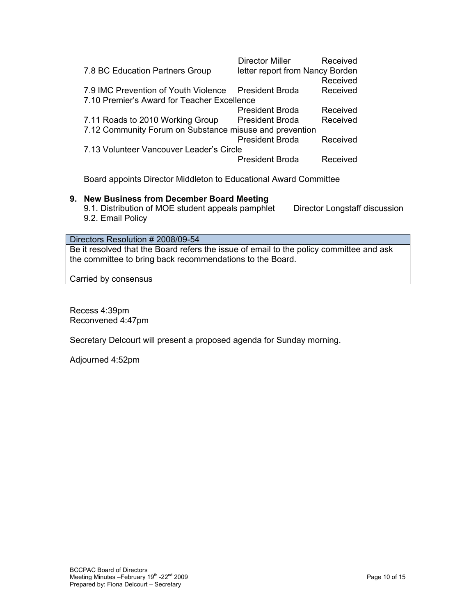|                                                         | Director Miller                 | Received |  |  |
|---------------------------------------------------------|---------------------------------|----------|--|--|
| 7.8 BC Education Partners Group                         | letter report from Nancy Borden |          |  |  |
|                                                         |                                 | Received |  |  |
| 7.9 IMC Prevention of Youth Violence                    | <b>President Broda</b>          | Received |  |  |
| 7.10 Premier's Award for Teacher Excellence             |                                 |          |  |  |
|                                                         | <b>President Broda</b>          | Received |  |  |
| 7.11 Roads to 2010 Working Group                        | <b>President Broda</b>          | Received |  |  |
| 7.12 Community Forum on Substance misuse and prevention |                                 |          |  |  |
|                                                         | <b>President Broda</b>          | Received |  |  |
| 7.13 Volunteer Vancouver Leader's Circle                |                                 |          |  |  |
|                                                         | <b>President Broda</b>          | Received |  |  |
|                                                         |                                 |          |  |  |

Board appoints Director Middleton to Educational Award Committee

#### **9. New Business from December Board Meeting**

9.1. Distribution of MOE student appeals pamphlet Director Longstaff discussion 9.2. Email Policy

#### Directors Resolution # 2008/09-54

Be it resolved that the Board refers the issue of email to the policy committee and ask the committee to bring back recommendations to the Board.

Carried by consensus

Recess 4:39pm Reconvened 4:47pm

Secretary Delcourt will present a proposed agenda for Sunday morning.

Adjourned 4:52pm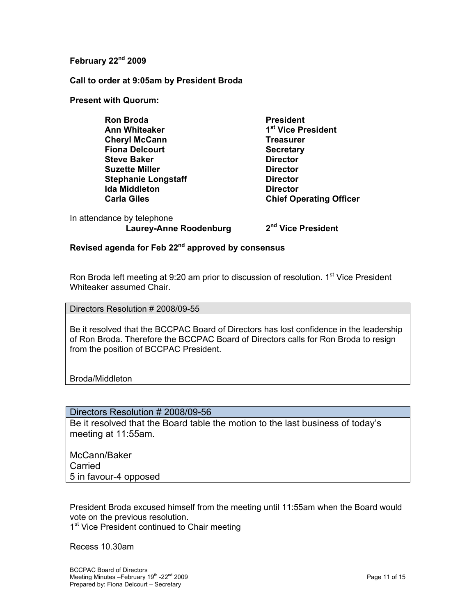## **February 22nd 2009**

**Call to order at 9:05am by President Broda** 

**Present with Quorum:** 

**Ron Broda** President Ann Whiteaker 1<sup>st</sup> Vice President **Cheryl McCann** Treasurer **Fiona Delcourt Secretary Steve Baker** Director<br> **Suzette Miller** Contractor<br>
Director **Suzette Miller Stephanie Longstaff Director Constant Director Ida Middleton Director** 

**Carla Giles Carla Giles** Chief Operating Officer

In attendance by telephone Laurey-Anne Roodenburg 2<sup>nd</sup> Vice President

## **Revised agenda for Feb 22nd approved by consensus**

Ron Broda left meeting at 9:20 am prior to discussion of resolution. 1<sup>st</sup> Vice President Whiteaker assumed Chair.

Directors Resolution # 2008/09-55

Be it resolved that the BCCPAC Board of Directors has lost confidence in the leadership of Ron Broda. Therefore the BCCPAC Board of Directors calls for Ron Broda to resign from the position of BCCPAC President.

Broda/Middleton

# Directors Resolution # 2008/09-56

Be it resolved that the Board table the motion to the last business of today's meeting at 11:55am.

McCann/Baker Carried 5 in favour-4 opposed

President Broda excused himself from the meeting until 11:55am when the Board would vote on the previous resolution.

1<sup>st</sup> Vice President continued to Chair meeting

Recess 10.30am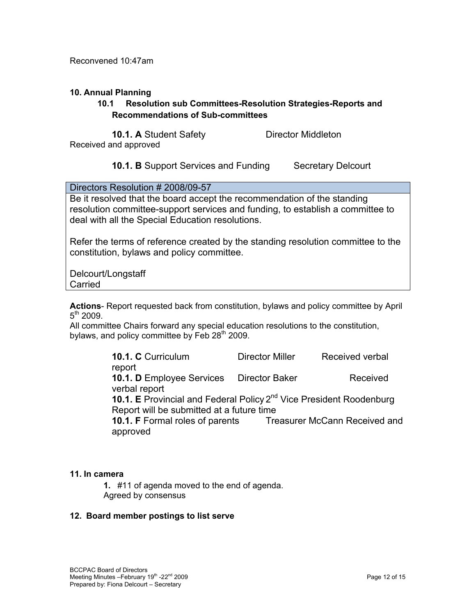Reconvened 10:47am

## **10. Annual Planning**

# **10.1 Resolution sub Committees-Resolution Strategies-Reports and Recommendations of Sub-committees**

**10.1. A** Student Safety **Director Middleton** 

Received and approved

# **10.1. B** Support Services and Funding Secretary Delcourt

Directors Resolution # 2008/09-57

Be it resolved that the board accept the recommendation of the standing resolution committee-support services and funding, to establish a committee to deal with all the Special Education resolutions.

Refer the terms of reference created by the standing resolution committee to the constitution, bylaws and policy committee.

Delcourt/Longstaff Carried

**Actions**- Report requested back from constitution, bylaws and policy committee by April  $5^{th}$  2009.

All committee Chairs forward any special education resolutions to the constitution, bylaws, and policy committee by Feb  $28<sup>th</sup>$  2009.

> **10.1. C** Curriculum **Director Miller** Received verbal report **10.1. D** Employee Services Director Baker Received verbal report **10.1. E** Provincial and Federal Policy 2<sup>nd</sup> Vice President Roodenburg Report will be submitted at a future time **10.1. F** Formal roles of parents Treasurer McCann Received and approved

## **11. In camera**

**1.** #11 of agenda moved to the end of agenda. Agreed by consensus

## **12. Board member postings to list serve**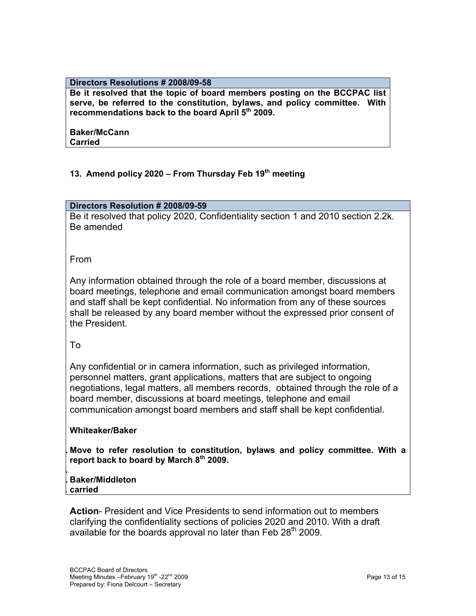#### **Directors Resolutions # 2008/09-58**

**Be it resolved that the topic of board members posting on the BCCPAC list serve, be referred to the constitution, bylaws, and policy committee. With**  recommendations back to the board April 5<sup>th</sup> 2009.

#### **Baker/McCann Carried**

# 13. Amend policy 2020 – From Thursday Feb 19<sup>th</sup> meeting

## **Directors Resolution # 2008/09-59**

Be it resolved that policy 2020, Confidentiality section 1 and 2010 section 2.2k. Be amended

From

Any information obtained through the role of a board member, discussions at board meetings, telephone and email communication amongst board members and staff shall be kept confidential. No information from any of these sources shall be released by any board member without the expressed prior consent of the President.

To

Any confidential or in camera information, such as privileged information, personnel matters, grant applications, matters that are subject to ongoing negotiations, legal matters, all members records, obtained through the role of a board member, discussions at board meetings, telephone and email communication amongst board members and staff shall be kept confidential.

## **Whiteaker/Baker**

**. Move to refer resolution to constitution, bylaws and policy committee. With a**  report back to board by March 8<sup>th</sup> 2009.

# **. . Baker/Middleton**

. **carried**

**Action**- President and Vice Presidents to send information out to members clarifying the confidentiality sections of policies 2020 and 2010. With a draft available for the boards approval no later than Feb  $28<sup>th</sup>$  2009.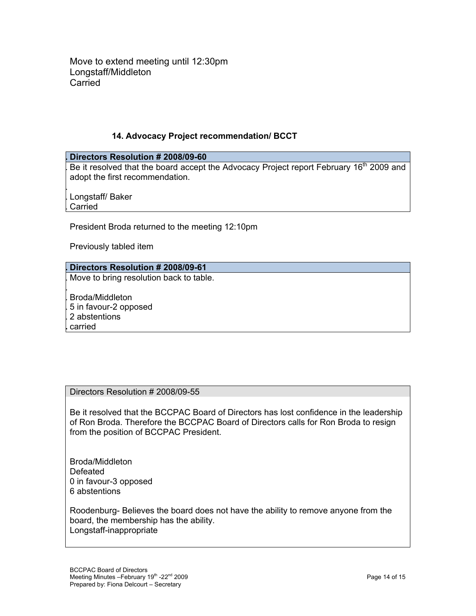Move to extend meeting until 12:30pm Longstaff/Middleton **Carried** 

## **14. Advocacy Project recommendation/ BCCT**

#### **. Directors Resolution # 2008/09-60**

Be it resolved that the board accept the Advocacy Project report February 16<sup>th</sup> 2009 and adopt the first recommendation.

. . Longstaff/ Baker

. Carried

.

President Broda returned to the meeting 12:10pm

Previously tabled item

## **. Directors Resolution # 2008/09-61**

. Move to bring resolution back to table.

. Broda/Middleton . 5 in favour-2 opposed . 2 abstentions **.** carried

## Directors Resolution # 2008/09-55

Be it resolved that the BCCPAC Board of Directors has lost confidence in the leadership of Ron Broda. Therefore the BCCPAC Board of Directors calls for Ron Broda to resign from the position of BCCPAC President.

Broda/Middleton Defeated 0 in favour-3 opposed 6 abstentions

Roodenburg- Believes the board does not have the ability to remove anyone from the board, the membership has the ability. Longstaff-inappropriate